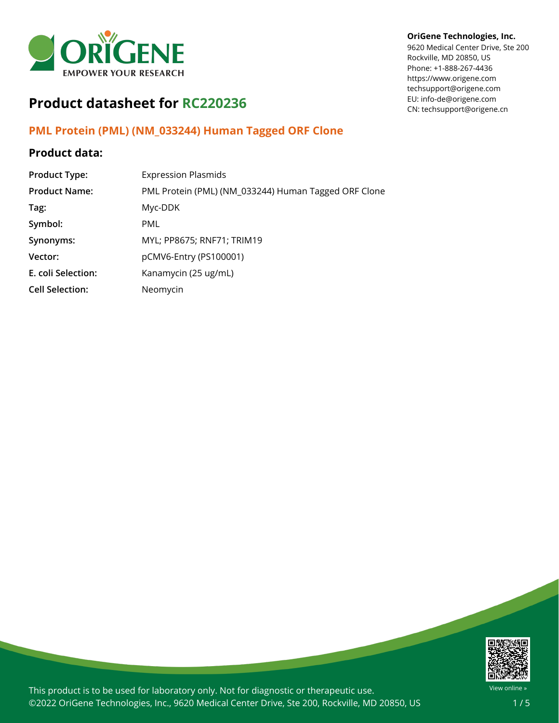

# **Product datasheet for RC220236**

## **PML Protein (PML) (NM\_033244) Human Tagged ORF Clone**

### **Product data:**

| <b>Product Type:</b>   | <b>Expression Plasmids</b>                           |
|------------------------|------------------------------------------------------|
| <b>Product Name:</b>   | PML Protein (PML) (NM_033244) Human Tagged ORF Clone |
| Tag:                   | Myc-DDK                                              |
| Symbol:                | <b>PML</b>                                           |
| Synonyms:              | MYL; PP8675; RNF71; TRIM19                           |
| Vector:                | pCMV6-Entry (PS100001)                               |
| E. coli Selection:     | Kanamycin (25 ug/mL)                                 |
| <b>Cell Selection:</b> | Neomycin                                             |

#### **OriGene Technologies, Inc.**

9620 Medical Center Drive, Ste 200 Rockville, MD 20850, US Phone: +1-888-267-4436 https://www.origene.com techsupport@origene.com EU: info-de@origene.com CN: techsupport@origene.cn



This product is to be used for laboratory only. Not for diagnostic or therapeutic use. ©2022 OriGene Technologies, Inc., 9620 Medical Center Drive, Ste 200, Rockville, MD 20850, US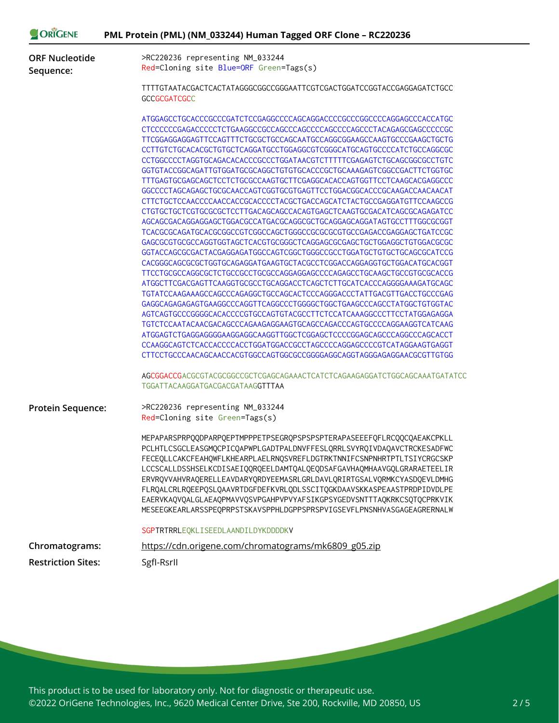| >RC220236 representing NM_033244<br><b>ORF Nucleotide</b><br>Red=Cloning site Blue=ORF Green=Tags(s)<br>TTTTGTAATACGACTCACTATAGGGCGGCCGGGAATTCGTCGACTGGATCCGGTACCGAGGAGATCTGCC<br>GCCGCGATCGCC<br>TTCGGAGGAGGAGTTCCAGTTTCTGCGCTGCCAGCAATGCCAGGCGGAAGCCAAGTGCCCGAAGCTGCTG<br>CCTTGTCTGCACACGCTGTGCTCAGGATGCCTGGAGGCGTCGGGCATGCAGTGCCCCATCTGCCAGGCGC<br>CCTGGCCCCTAGGTGCAGACACACCCCGCCCTGGATAACGTCTTTTTCGAGAGTCTGCAGCGGCGCCTGTC<br>GGTGTACCGGCAGATTGTGGATGCGCAGGCTGTGTGCACCCGCTGCAAAGAGTCGGCCGACTTCTGGTGC<br>TTTGAGTGCGAGCAGCTCCTCTGCGCCAAGTGCTTCGAGGCACACCAGTGGTTCCTCAAGCACGAGGCCC<br>GGCCCCTAGCAGAGCTGCGCAACCAGTCGGTGCGTGAGTTCCTGGACGGCACCCGCAAGACCAACAACAT<br>CTTCTGCTCCAACCCCAACCACCGCACCCCTACGCTGACCAGCATCTACTGCCGAGGATGTTCCAAGCCG<br>CTGTGCTGCTCGTGCGCGCTCCTTGACAGCAGCCACAGTGAGCTCAAGTGCGACATCAGCGCAGAGATCC<br>AGCAGCGACAGGAGGAGCTGGACGCCATGACGCAGGCGCTGCAGGAGCAGGATAGTGCCTTTGGCGCGGT<br>GAGCGCGTGCGCCAGGTGGTAGCTCACGTGCGGGCTCAGGAGCGCGAGCTGCTGGAGGCTGTGGACGCGC<br>GGTACCAGCGCGACTACGAGGAGATGGCCAGTCGGCTGGGCCGCCTGGATGCTGTGCTGCAGCGCATCCG<br>CACGGGCAGCGCCCTGGTGCAGAGGATGAAGTGCTACGCCTCGGACCAGGAGGTGCTGGACATGCACGGT<br>TTCCTGCGCCAGGCGCTCTGCCGCCTGCGCCAGGAGGAGCCCCAGAGCCTGCAAGCTGCCGTGCGCACCG<br>ATGGCTTCGACGAGTTCAAGGTGCGCCTGCAGGACCTCAGCTCTTGCATCACCCAGGGGAAAGATGCAGC<br>TGTATCCAAGAAAGCCAGCCCAGAGGCTGCCAGCACTCCCAGGGACCCTATTGACGTTGACCTGCCCGAG<br>AGTCAGTGCCCGGGGCACACCCCGTGCCAGTGTACGCCTTCTCCATCAAAGGCCCTTCCTATGGAGAGGA<br>TGTCTCCAATACAACGACAGCCCAGAAGAGGAAGTGCAGCCAGACCCAGTGCCCCAGGAAGGTCATCAAG<br>ATGGAGTCTGAGGAGGGGAAGGAGGCAAGGTTGGCTCGGAGCTCCCCGGAGCAGCCCAGGCCCAGCACCT<br>CCAAGGCAGTCTCACCACCCCACCTGGATGGACCGCCTAGCCCCAGGAGCCCCGTCATAGGAAGTGAGGT<br>CTTCCTGCCCAACAGCAACCACGTGGCCAGTGGCGCCGGGAGGCAGGTAGGGAGGAACGCGTTGTGG<br>AGCGGACCGACGCGTACGCGGCCGCTCGAGCAGAAACTCATCTCAGAAGAGGATCTGGCAGCAAATGATATCC<br>TGGATTACAAGGATGACGACGATAAGGTTTAA<br>>RC220236 representing NM_033244<br><b>Protein Sequence:</b><br>Red=Cloning site Green=Tags(s)<br>MEPAPARSPRPQQDPARPQEPTMPPPETPSEGRQPSPSPSPTERAPASEEEFQFLRCQQCQAEAKCPKLL<br>PCLHTLCSGCLEASGMQCPICQAPWPLGADTPALDNVFFESLQRRLSVYRQIVDAQAVCTRCKESADFWC<br>FECEQLLCAKCFEAHQWFLKHEARPLAELRNQSVREFLDGTRKTNNIFCSNPNHRTPTLTSIYCRGCSKP<br>LCCSCALLDSSHSELKCDISAEIQQRQEELDAMTQALQEQDSAFGAVHAQMHAAVGQLGRARAETEELIR<br>ERVRQVVAHVRAQERELLEAVDARYQRDYEEMASRLGRLDAVLQRIRTGSALVQRMKCYASDQEVLDMHG<br>FLRQALCRLRQEEPQSLQAAVRTDGFDEFKVRLQDLSSCITQGKDAAVSKKASPEAASTPRDPIDVDLPE<br>EAERVKAQVQALGLAEAQPMAVVQSVPGAHPVPVYAFSIKGPSYGEDVSNTTTAQKRKCSQTQCPRKVIK<br>MESEEGKEARLARSSPEQPRPSTSKAVSPPHLDGPPSPRSPVIGSEVFLPNSNHVASGAGEAGRERNALW<br>SGPTRTRRLEQKLISEEDLAANDILDYKDDDDKV<br>Chromatograms:<br>https://cdn.origene.com/chromatograms/mk6809_g05.zip | ORIGENE                   | PML Protein (PML) (NM_033244) Human Tagged ORF Clone - RC220236 |
|-----------------------------------------------------------------------------------------------------------------------------------------------------------------------------------------------------------------------------------------------------------------------------------------------------------------------------------------------------------------------------------------------------------------------------------------------------------------------------------------------------------------------------------------------------------------------------------------------------------------------------------------------------------------------------------------------------------------------------------------------------------------------------------------------------------------------------------------------------------------------------------------------------------------------------------------------------------------------------------------------------------------------------------------------------------------------------------------------------------------------------------------------------------------------------------------------------------------------------------------------------------------------------------------------------------------------------------------------------------------------------------------------------------------------------------------------------------------------------------------------------------------------------------------------------------------------------------------------------------------------------------------------------------------------------------------------------------------------------------------------------------------------------------------------------------------------------------------------------------------------------------------------------------------------------------------------------------------------------------------------------------------------------------------------------------------------------------------------------------------------------------------------------------------------------------------------------------------------------------------------------------------------------------------------------------------------------------------------------------------------------------------------------------------------------------------------------------------------------------------------------------------------------------------------------------------------------------------------------------------------------------------------------------------------------------------|---------------------------|-----------------------------------------------------------------|
|                                                                                                                                                                                                                                                                                                                                                                                                                                                                                                                                                                                                                                                                                                                                                                                                                                                                                                                                                                                                                                                                                                                                                                                                                                                                                                                                                                                                                                                                                                                                                                                                                                                                                                                                                                                                                                                                                                                                                                                                                                                                                                                                                                                                                                                                                                                                                                                                                                                                                                                                                                                                                                                                                         | Sequence:                 |                                                                 |
|                                                                                                                                                                                                                                                                                                                                                                                                                                                                                                                                                                                                                                                                                                                                                                                                                                                                                                                                                                                                                                                                                                                                                                                                                                                                                                                                                                                                                                                                                                                                                                                                                                                                                                                                                                                                                                                                                                                                                                                                                                                                                                                                                                                                                                                                                                                                                                                                                                                                                                                                                                                                                                                                                         |                           |                                                                 |
|                                                                                                                                                                                                                                                                                                                                                                                                                                                                                                                                                                                                                                                                                                                                                                                                                                                                                                                                                                                                                                                                                                                                                                                                                                                                                                                                                                                                                                                                                                                                                                                                                                                                                                                                                                                                                                                                                                                                                                                                                                                                                                                                                                                                                                                                                                                                                                                                                                                                                                                                                                                                                                                                                         |                           |                                                                 |
|                                                                                                                                                                                                                                                                                                                                                                                                                                                                                                                                                                                                                                                                                                                                                                                                                                                                                                                                                                                                                                                                                                                                                                                                                                                                                                                                                                                                                                                                                                                                                                                                                                                                                                                                                                                                                                                                                                                                                                                                                                                                                                                                                                                                                                                                                                                                                                                                                                                                                                                                                                                                                                                                                         |                           |                                                                 |
|                                                                                                                                                                                                                                                                                                                                                                                                                                                                                                                                                                                                                                                                                                                                                                                                                                                                                                                                                                                                                                                                                                                                                                                                                                                                                                                                                                                                                                                                                                                                                                                                                                                                                                                                                                                                                                                                                                                                                                                                                                                                                                                                                                                                                                                                                                                                                                                                                                                                                                                                                                                                                                                                                         |                           |                                                                 |
|                                                                                                                                                                                                                                                                                                                                                                                                                                                                                                                                                                                                                                                                                                                                                                                                                                                                                                                                                                                                                                                                                                                                                                                                                                                                                                                                                                                                                                                                                                                                                                                                                                                                                                                                                                                                                                                                                                                                                                                                                                                                                                                                                                                                                                                                                                                                                                                                                                                                                                                                                                                                                                                                                         |                           |                                                                 |
|                                                                                                                                                                                                                                                                                                                                                                                                                                                                                                                                                                                                                                                                                                                                                                                                                                                                                                                                                                                                                                                                                                                                                                                                                                                                                                                                                                                                                                                                                                                                                                                                                                                                                                                                                                                                                                                                                                                                                                                                                                                                                                                                                                                                                                                                                                                                                                                                                                                                                                                                                                                                                                                                                         |                           |                                                                 |
|                                                                                                                                                                                                                                                                                                                                                                                                                                                                                                                                                                                                                                                                                                                                                                                                                                                                                                                                                                                                                                                                                                                                                                                                                                                                                                                                                                                                                                                                                                                                                                                                                                                                                                                                                                                                                                                                                                                                                                                                                                                                                                                                                                                                                                                                                                                                                                                                                                                                                                                                                                                                                                                                                         | <b>Restriction Sites:</b> | SgfI-RsrII                                                      |
|                                                                                                                                                                                                                                                                                                                                                                                                                                                                                                                                                                                                                                                                                                                                                                                                                                                                                                                                                                                                                                                                                                                                                                                                                                                                                                                                                                                                                                                                                                                                                                                                                                                                                                                                                                                                                                                                                                                                                                                                                                                                                                                                                                                                                                                                                                                                                                                                                                                                                                                                                                                                                                                                                         |                           |                                                                 |
|                                                                                                                                                                                                                                                                                                                                                                                                                                                                                                                                                                                                                                                                                                                                                                                                                                                                                                                                                                                                                                                                                                                                                                                                                                                                                                                                                                                                                                                                                                                                                                                                                                                                                                                                                                                                                                                                                                                                                                                                                                                                                                                                                                                                                                                                                                                                                                                                                                                                                                                                                                                                                                                                                         |                           |                                                                 |
|                                                                                                                                                                                                                                                                                                                                                                                                                                                                                                                                                                                                                                                                                                                                                                                                                                                                                                                                                                                                                                                                                                                                                                                                                                                                                                                                                                                                                                                                                                                                                                                                                                                                                                                                                                                                                                                                                                                                                                                                                                                                                                                                                                                                                                                                                                                                                                                                                                                                                                                                                                                                                                                                                         |                           |                                                                 |

This product is to be used for laboratory only. Not for diagnostic or therapeutic use. ©2022 OriGene Technologies, Inc., 9620 Medical Center Drive, Ste 200, Rockville, MD 20850, US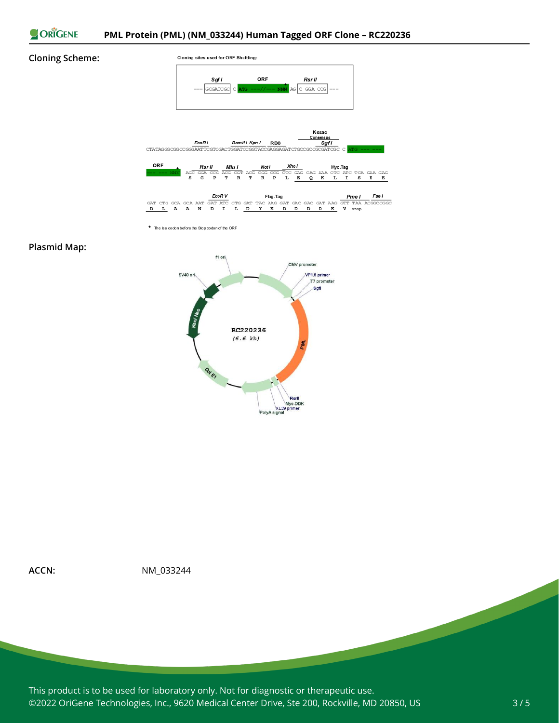

#### **Cloning Scheme:**







\* The last codon before the Stop codon of the ORF

#### **Plasmid Map:**





**ACCN:** NM\_033244

This product is to be used for laboratory only. Not for diagnostic or therapeutic use. ©2022 OriGene Technologies, Inc., 9620 Medical Center Drive, Ste 200, Rockville, MD 20850, US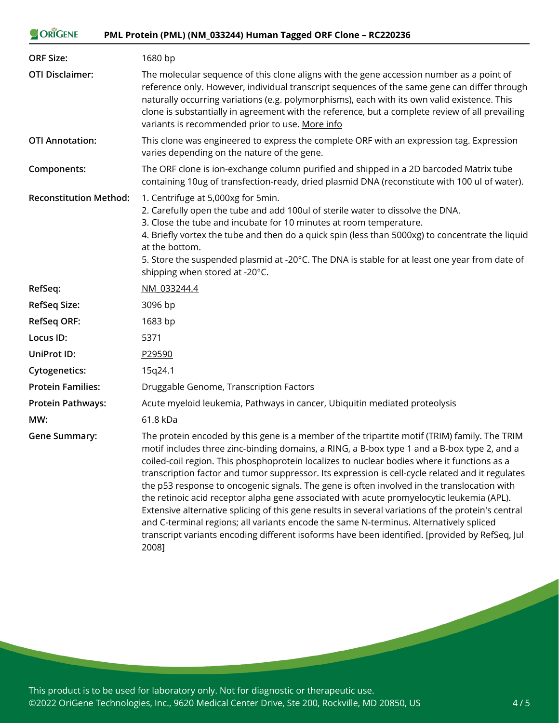| ORIGENE<br>PML Protein (PML) (NM_033244) Human Tagged ORF Clone - RC220236 |                                                                                                                                                                                                                                                                                                                                                                                                                                                                                                                                                                                            |
|----------------------------------------------------------------------------|--------------------------------------------------------------------------------------------------------------------------------------------------------------------------------------------------------------------------------------------------------------------------------------------------------------------------------------------------------------------------------------------------------------------------------------------------------------------------------------------------------------------------------------------------------------------------------------------|
| <b>ORF Size:</b>                                                           | 1680 bp                                                                                                                                                                                                                                                                                                                                                                                                                                                                                                                                                                                    |
| <b>OTI Disclaimer:</b>                                                     | The molecular sequence of this clone aligns with the gene accession number as a point of<br>reference only. However, individual transcript sequences of the same gene can differ through<br>naturally occurring variations (e.g. polymorphisms), each with its own valid existence. This<br>clone is substantially in agreement with the reference, but a complete review of all prevailing<br>variants is recommended prior to use. More info                                                                                                                                             |
| <b>OTI Annotation:</b>                                                     | This clone was engineered to express the complete ORF with an expression tag. Expression<br>varies depending on the nature of the gene.                                                                                                                                                                                                                                                                                                                                                                                                                                                    |
| Components:                                                                | The ORF clone is ion-exchange column purified and shipped in a 2D barcoded Matrix tube<br>containing 10ug of transfection-ready, dried plasmid DNA (reconstitute with 100 ul of water).                                                                                                                                                                                                                                                                                                                                                                                                    |
| <b>Reconstitution Method:</b>                                              | 1. Centrifuge at 5,000xg for 5min.<br>2. Carefully open the tube and add 100ul of sterile water to dissolve the DNA.<br>3. Close the tube and incubate for 10 minutes at room temperature.<br>4. Briefly vortex the tube and then do a quick spin (less than 5000xg) to concentrate the liquid<br>at the bottom.<br>5. Store the suspended plasmid at -20°C. The DNA is stable for at least one year from date of<br>shipping when stored at -20°C.                                                                                                                                        |
| RefSeq:                                                                    | NM 033244.4                                                                                                                                                                                                                                                                                                                                                                                                                                                                                                                                                                                |
| <b>RefSeq Size:</b>                                                        | 3096 bp                                                                                                                                                                                                                                                                                                                                                                                                                                                                                                                                                                                    |
| <b>RefSeq ORF:</b>                                                         | 1683 bp                                                                                                                                                                                                                                                                                                                                                                                                                                                                                                                                                                                    |
| Locus ID:                                                                  | 5371                                                                                                                                                                                                                                                                                                                                                                                                                                                                                                                                                                                       |
| UniProt ID:                                                                | P29590                                                                                                                                                                                                                                                                                                                                                                                                                                                                                                                                                                                     |
| <b>Cytogenetics:</b>                                                       | 15q24.1                                                                                                                                                                                                                                                                                                                                                                                                                                                                                                                                                                                    |
| <b>Protein Families:</b>                                                   | Druggable Genome, Transcription Factors                                                                                                                                                                                                                                                                                                                                                                                                                                                                                                                                                    |
| <b>Protein Pathways:</b>                                                   | Acute myeloid leukemia, Pathways in cancer, Ubiquitin mediated proteolysis                                                                                                                                                                                                                                                                                                                                                                                                                                                                                                                 |
| MW:                                                                        | 61.8 kDa                                                                                                                                                                                                                                                                                                                                                                                                                                                                                                                                                                                   |
| <b>Gene Summary:</b>                                                       | The protein encoded by this gene is a member of the tripartite motif (TRIM) family. The TRIM<br>motif includes three zinc-binding domains, a RING, a B-box type 1 and a B-box type 2, and a<br>coiled-coil region. This phosphoprotein localizes to nuclear bodies where it functions as a<br>transcription factor and tumor suppressor. Its expression is cell-cycle related and it regulates<br>the p53 response to oncogenic signals. The gene is often involved in the translocation with<br>the retinoic acid receptor alpha gene associated with acute promyelocytic leukemia (APL). |

Extensive alternative splicing of this gene results in several variations of the protein's central and C-terminal regions; all variants encode the same N-terminus. Alternatively spliced transcript variants encoding different isoforms have been identified. [provided by RefSeq, Jul 2008]

This product is to be used for laboratory only. Not for diagnostic or therapeutic use. ©2022 OriGene Technologies, Inc., 9620 Medical Center Drive, Ste 200, Rockville, MD 20850, US